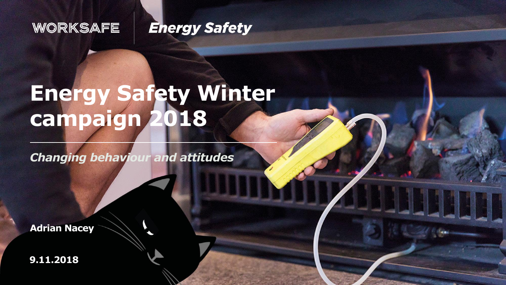#### WORKSAFE

#### **Energy Safety**

# **Energy Safety Winter campaign 2018**

*Changing behaviour and attitudes*

**Adrian Nacey** 

**9.11.2018**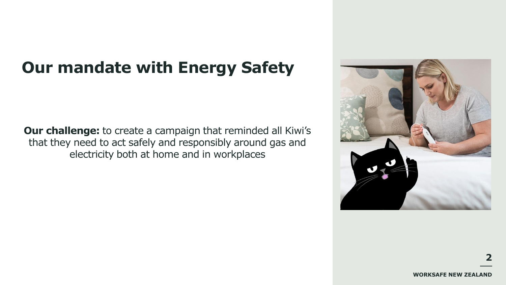# **Our mandate with Energy Safety**

**Our challenge:** to create a campaign that reminded all Kiwi's that they need to act safely and responsibly around gas and electricity both at home and in workplaces

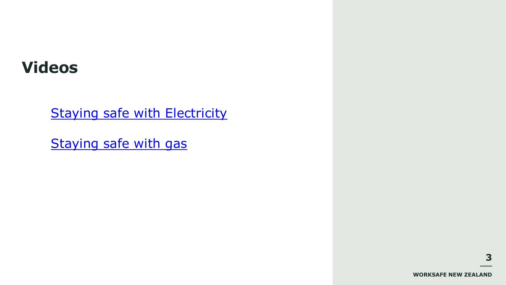### **Videos**

**[Staying safe with Electricity](https://www.youtube.com/watch?v=VSkaMf1ew4o)** 

[Staying safe with gas](https://www.youtube.com/watch?v=JztShhxKfPk)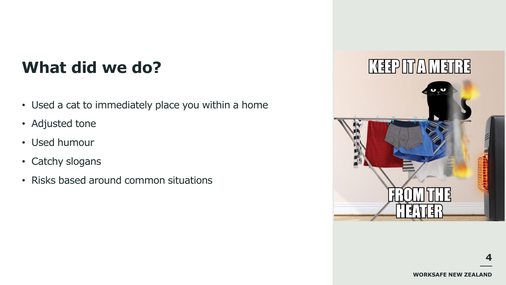# **What did we do?**

- Used a cat to immediately place you within a home
- Adjusted tone
- Used humour
- Catchy slogans
- Risks based around common situations

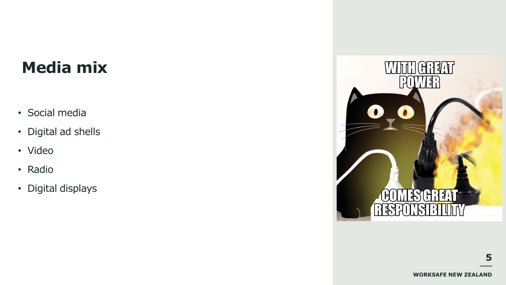# **Media mix**

- Social media
- Digital ad shells
- Video
- Radio
- Digital displays

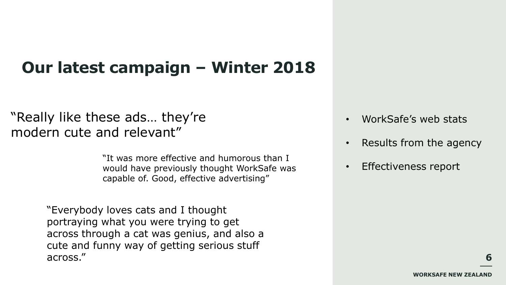# **Our latest campaign – Winter 2018**

#### "Really like these ads… they're modern cute and relevant"

"It was more effective and humorous than I would have previously thought WorkSafe was capable of. Good, effective advertising"

"Everybody loves cats and I thought portraying what you were trying to get across through a cat was genius, and also a cute and funny way of getting serious stuff across."

- WorkSafe's web stats
- Results from the agency
- Effectiveness report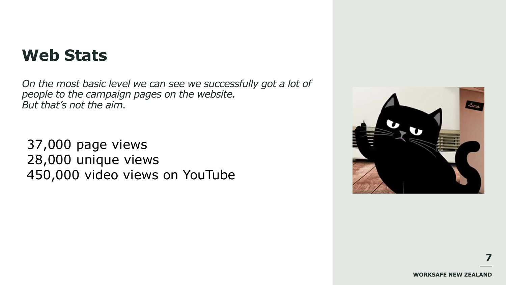#### **Web Stats**

*On the most basic level we can see we successfully got a lot of people to the campaign pages on the website. But that's not the aim.* 

37,000 page views 28,000 unique views 450,000 video views on YouTube

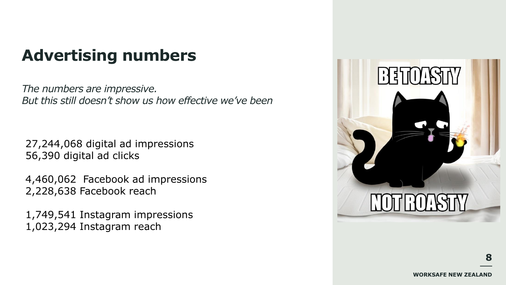# **Advertising numbers**

*The numbers are impressive. But this still doesn't show us how effective we've been*

27,244,068 digital ad impressions 56,390 digital ad clicks

4,460,062 Facebook ad impressions 2,228,638 Facebook reach

1,749,541 Instagram impressions 1,023,294 Instagram reach

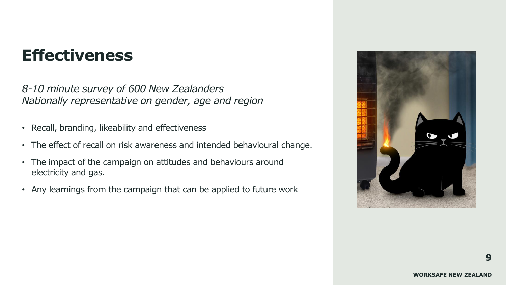# **Effectiveness**

*8-10 minute survey of 600 New Zealanders Nationally representative on gender, age and region*

- Recall, branding, likeability and effectiveness
- The effect of recall on risk awareness and intended behavioural change.
- The impact of the campaign on attitudes and behaviours around electricity and gas.
- Any learnings from the campaign that can be applied to future work

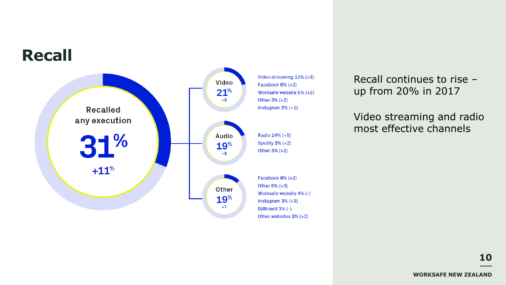

Recall continues to rise – up from 20% in 2017

Video streaming and radio most effective channels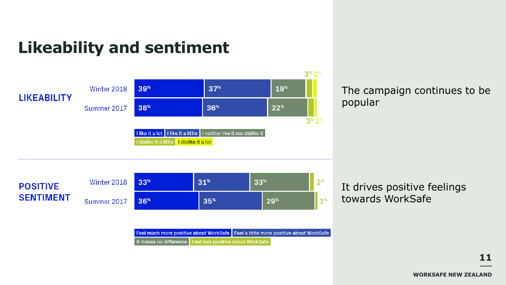# **Likeability and sentiment**



The campaign continues to be popular

It drives positive feelings towards WorkSafe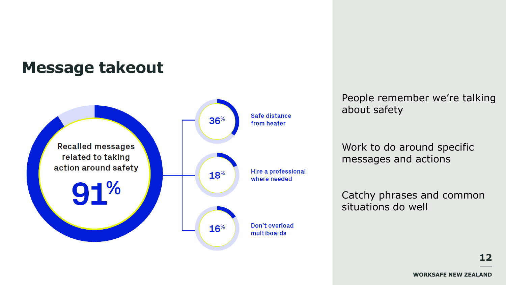### **Message takeout**



People remember we're talking about safety

Work to do around specific messages and actions

Catchy phrases and common situations do well

**WORKSAFE NEW ZEALAND**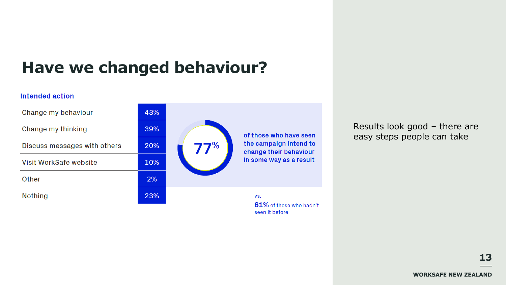# **Have we changed behaviour?**

#### Intended action



Results look good – there are easy steps people can take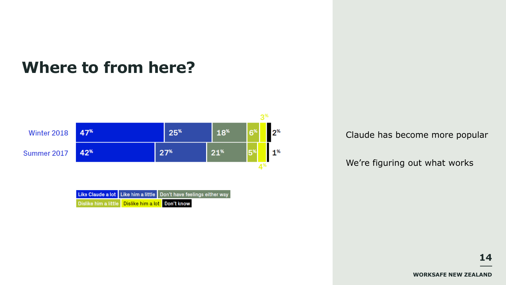# **Where to from here?**



|                                                          | Like Claude a lot Like him a little Don't have feelings either way |
|----------------------------------------------------------|--------------------------------------------------------------------|
| Dislike him a little <b>Dislike him a lot</b> Don't know |                                                                    |

Claude has become more popular

We're figuring out what works

**WORKSAFE NEW ZEALAND**